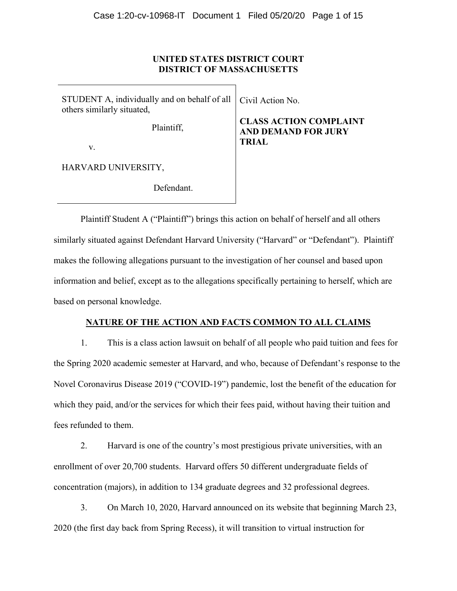## **UNITED STATES DISTRICT COURT DISTRICT OF MASSACHUSETTS**

STUDENT A, individually and on behalf of all others similarly situated, Plaintiff, v.

HARVARD UNIVERSITY,

Defendant.

Civil Action No.

# **CLASS ACTION COMPLAINT AND DEMAND FOR JURY TRIAL**

Plaintiff Student A ("Plaintiff") brings this action on behalf of herself and all others similarly situated against Defendant Harvard University ("Harvard" or "Defendant"). Plaintiff makes the following allegations pursuant to the investigation of her counsel and based upon information and belief, except as to the allegations specifically pertaining to herself, which are based on personal knowledge.

## **NATURE OF THE ACTION AND FACTS COMMON TO ALL CLAIMS**

1. This is a class action lawsuit on behalf of all people who paid tuition and fees for the Spring 2020 academic semester at Harvard, and who, because of Defendant's response to the Novel Coronavirus Disease 2019 ("COVID-19") pandemic, lost the benefit of the education for which they paid, and/or the services for which their fees paid, without having their tuition and fees refunded to them.

2. Harvard is one of the country's most prestigious private universities, with an enrollment of over 20,700 students. Harvard offers 50 different undergraduate fields of concentration (majors), in addition to 134 graduate degrees and 32 professional degrees.

3. On March 10, 2020, Harvard announced on its website that beginning March 23, 2020 (the first day back from Spring Recess), it will transition to virtual instruction for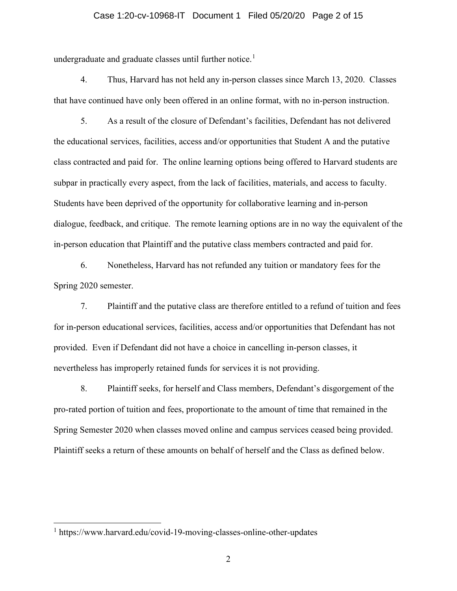## Case 1:20-cv-10968-IT Document 1 Filed 05/20/20 Page 2 of 15

undergraduate and graduate classes until further notice.<sup>[1](#page-1-0)</sup>

4. Thus, Harvard has not held any in-person classes since March 13, 2020. Classes that have continued have only been offered in an online format, with no in-person instruction.

5. As a result of the closure of Defendant's facilities, Defendant has not delivered the educational services, facilities, access and/or opportunities that Student A and the putative class contracted and paid for. The online learning options being offered to Harvard students are subpar in practically every aspect, from the lack of facilities, materials, and access to faculty. Students have been deprived of the opportunity for collaborative learning and in-person dialogue, feedback, and critique. The remote learning options are in no way the equivalent of the in-person education that Plaintiff and the putative class members contracted and paid for.

6. Nonetheless, Harvard has not refunded any tuition or mandatory fees for the Spring 2020 semester.

7. Plaintiff and the putative class are therefore entitled to a refund of tuition and fees for in-person educational services, facilities, access and/or opportunities that Defendant has not provided. Even if Defendant did not have a choice in cancelling in-person classes, it nevertheless has improperly retained funds for services it is not providing.

8. Plaintiff seeks, for herself and Class members, Defendant's disgorgement of the pro-rated portion of tuition and fees, proportionate to the amount of time that remained in the Spring Semester 2020 when classes moved online and campus services ceased being provided. Plaintiff seeks a return of these amounts on behalf of herself and the Class as defined below.

<span id="page-1-0"></span><sup>&</sup>lt;sup>1</sup> https://www.harvard.edu/covid-19-moving-classes-online-other-updates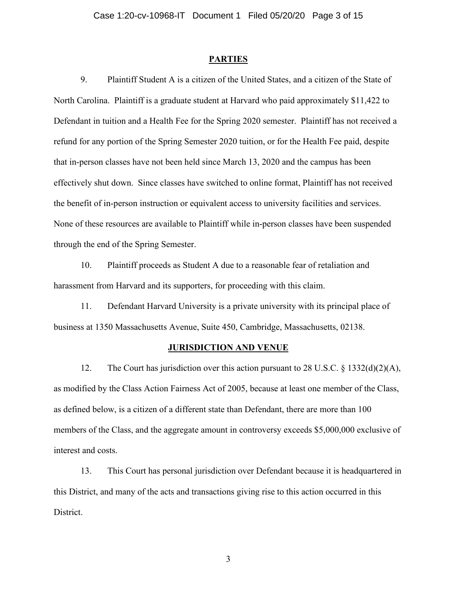#### **PARTIES**

9. Plaintiff Student A is a citizen of the United States, and a citizen of the State of North Carolina. Plaintiff is a graduate student at Harvard who paid approximately \$11,422 to Defendant in tuition and a Health Fee for the Spring 2020 semester. Plaintiff has not received a refund for any portion of the Spring Semester 2020 tuition, or for the Health Fee paid, despite that in-person classes have not been held since March 13, 2020 and the campus has been effectively shut down. Since classes have switched to online format, Plaintiff has not received the benefit of in-person instruction or equivalent access to university facilities and services. None of these resources are available to Plaintiff while in-person classes have been suspended through the end of the Spring Semester.

10. Plaintiff proceeds as Student A due to a reasonable fear of retaliation and harassment from Harvard and its supporters, for proceeding with this claim.

11. Defendant Harvard University is a private university with its principal place of business at 1350 Massachusetts Avenue, Suite 450, Cambridge, Massachusetts, 02138.

## **JURISDICTION AND VENUE**

12. The Court has jurisdiction over this action pursuant to 28 U.S.C.  $\S$  1332(d)(2)(A), as modified by the Class Action Fairness Act of 2005, because at least one member of the Class, as defined below, is a citizen of a different state than Defendant, there are more than 100 members of the Class, and the aggregate amount in controversy exceeds \$5,000,000 exclusive of interest and costs.

13. This Court has personal jurisdiction over Defendant because it is headquartered in this District, and many of the acts and transactions giving rise to this action occurred in this District.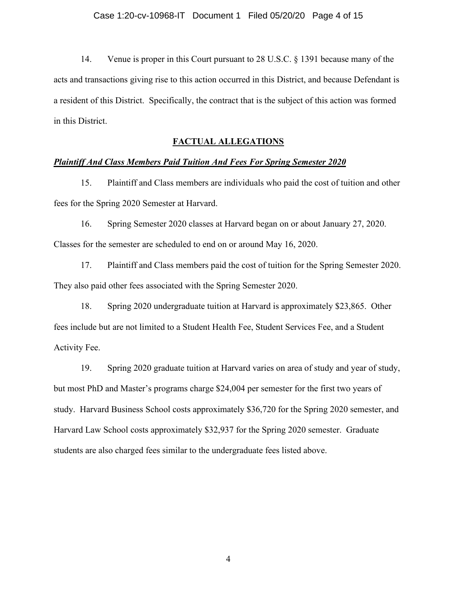14. Venue is proper in this Court pursuant to 28 U.S.C. § 1391 because many of the acts and transactions giving rise to this action occurred in this District, and because Defendant is a resident of this District. Specifically, the contract that is the subject of this action was formed in this District.

## **FACTUAL ALLEGATIONS**

#### *Plaintiff And Class Members Paid Tuition And Fees For Spring Semester 2020*

15. Plaintiff and Class members are individuals who paid the cost of tuition and other fees for the Spring 2020 Semester at Harvard.

16. Spring Semester 2020 classes at Harvard began on or about January 27, 2020. Classes for the semester are scheduled to end on or around May 16, 2020.

17. Plaintiff and Class members paid the cost of tuition for the Spring Semester 2020. They also paid other fees associated with the Spring Semester 2020.

18. Spring 2020 undergraduate tuition at Harvard is approximately \$23,865. Other fees include but are not limited to a Student Health Fee, Student Services Fee, and a Student Activity Fee.

19. Spring 2020 graduate tuition at Harvard varies on area of study and year of study, but most PhD and Master's programs charge \$24,004 per semester for the first two years of study. Harvard Business School costs approximately \$36,720 for the Spring 2020 semester, and Harvard Law School costs approximately \$32,937 for the Spring 2020 semester. Graduate students are also charged fees similar to the undergraduate fees listed above.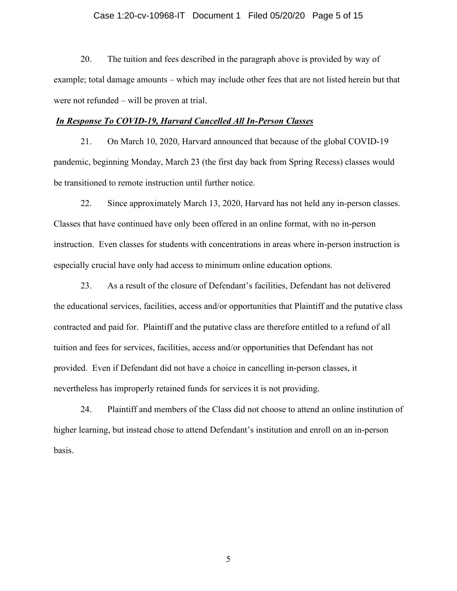## Case 1:20-cv-10968-IT Document 1 Filed 05/20/20 Page 5 of 15

20. The tuition and fees described in the paragraph above is provided by way of example; total damage amounts – which may include other fees that are not listed herein but that were not refunded – will be proven at trial.

## *In Response To COVID-19, Harvard Cancelled All In-Person Classes*

21. On March 10, 2020, Harvard announced that because of the global COVID-19 pandemic, beginning Monday, March 23 (the first day back from Spring Recess) classes would be transitioned to remote instruction until further notice.

22. Since approximately March 13, 2020, Harvard has not held any in-person classes. Classes that have continued have only been offered in an online format, with no in-person instruction. Even classes for students with concentrations in areas where in-person instruction is especially crucial have only had access to minimum online education options.

23. As a result of the closure of Defendant's facilities, Defendant has not delivered the educational services, facilities, access and/or opportunities that Plaintiff and the putative class contracted and paid for. Plaintiff and the putative class are therefore entitled to a refund of all tuition and fees for services, facilities, access and/or opportunities that Defendant has not provided. Even if Defendant did not have a choice in cancelling in-person classes, it nevertheless has improperly retained funds for services it is not providing.

24. Plaintiff and members of the Class did not choose to attend an online institution of higher learning, but instead chose to attend Defendant's institution and enroll on an in-person basis.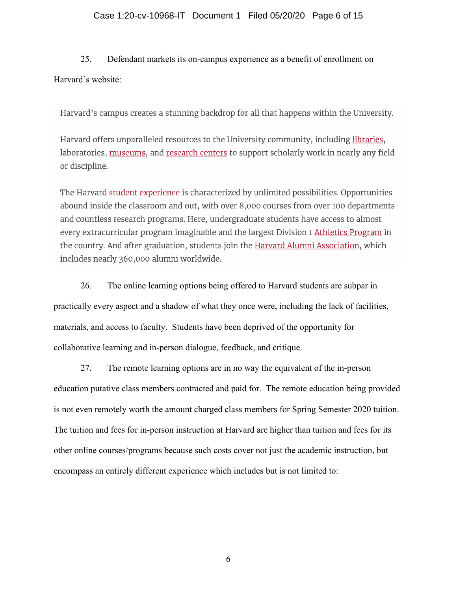## Case 1:20-cv-10968-IT Document 1 Filed 05/20/20 Page 6 of 15

# 25. Defendant markets its on-campus experience as a benefit of enrollment on Harvard's website:

Harvard's campus creates a stunning backdrop for all that happens within the University.

Harvard offers unparalleled resources to the University community, including libraries, laboratories, museums, and research centers to support scholarly work in nearly any field or discipline.

The Harvard student experience is characterized by unlimited possibilities. Opportunities abound inside the classroom and out, with over 8,000 courses from over 100 departments and countless research programs. Here, undergraduate students have access to almost every extracurricular program imaginable and the largest Division 1 Athletics Program in the country. And after graduation, students join the Harvard Alumni Association, which includes nearly 360,000 alumni worldwide.

26. The online learning options being offered to Harvard students are subpar in practically every aspect and a shadow of what they once were, including the lack of facilities, materials, and access to faculty. Students have been deprived of the opportunity for collaborative learning and in-person dialogue, feedback, and critique.

27. The remote learning options are in no way the equivalent of the in-person education putative class members contracted and paid for. The remote education being provided is not even remotely worth the amount charged class members for Spring Semester 2020 tuition. The tuition and fees for in-person instruction at Harvard are higher than tuition and fees for its other online courses/programs because such costs cover not just the academic instruction, but encompass an entirely different experience which includes but is not limited to: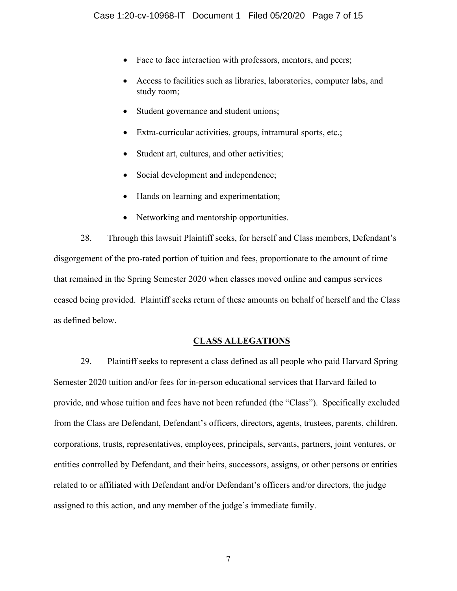- Face to face interaction with professors, mentors, and peers;
- Access to facilities such as libraries, laboratories, computer labs, and study room;
- Student governance and student unions;
- Extra-curricular activities, groups, intramural sports, etc.;
- Student art, cultures, and other activities;
- Social development and independence;
- Hands on learning and experimentation;
- Networking and mentorship opportunities.

28. Through this lawsuit Plaintiff seeks, for herself and Class members, Defendant's disgorgement of the pro-rated portion of tuition and fees, proportionate to the amount of time that remained in the Spring Semester 2020 when classes moved online and campus services ceased being provided. Plaintiff seeks return of these amounts on behalf of herself and the Class as defined below.

## **CLASS ALLEGATIONS**

29. Plaintiff seeks to represent a class defined as all people who paid Harvard Spring Semester 2020 tuition and/or fees for in-person educational services that Harvard failed to provide, and whose tuition and fees have not been refunded (the "Class"). Specifically excluded from the Class are Defendant, Defendant's officers, directors, agents, trustees, parents, children, corporations, trusts, representatives, employees, principals, servants, partners, joint ventures, or entities controlled by Defendant, and their heirs, successors, assigns, or other persons or entities related to or affiliated with Defendant and/or Defendant's officers and/or directors, the judge assigned to this action, and any member of the judge's immediate family.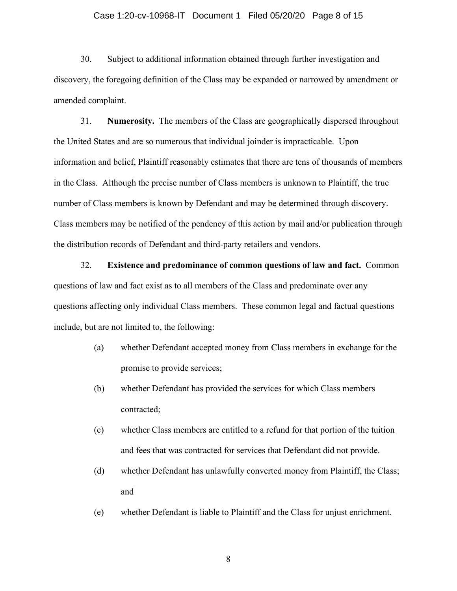## Case 1:20-cv-10968-IT Document 1 Filed 05/20/20 Page 8 of 15

30. Subject to additional information obtained through further investigation and discovery, the foregoing definition of the Class may be expanded or narrowed by amendment or amended complaint.

31. **Numerosity.** The members of the Class are geographically dispersed throughout the United States and are so numerous that individual joinder is impracticable. Upon information and belief, Plaintiff reasonably estimates that there are tens of thousands of members in the Class. Although the precise number of Class members is unknown to Plaintiff, the true number of Class members is known by Defendant and may be determined through discovery. Class members may be notified of the pendency of this action by mail and/or publication through the distribution records of Defendant and third-party retailers and vendors.

32. **Existence and predominance of common questions of law and fact.** Common questions of law and fact exist as to all members of the Class and predominate over any questions affecting only individual Class members. These common legal and factual questions include, but are not limited to, the following:

- (a) whether Defendant accepted money from Class members in exchange for the promise to provide services;
- (b) whether Defendant has provided the services for which Class members contracted;
- (c) whether Class members are entitled to a refund for that portion of the tuition and fees that was contracted for services that Defendant did not provide.
- (d) whether Defendant has unlawfully converted money from Plaintiff, the Class; and
- (e) whether Defendant is liable to Plaintiff and the Class for unjust enrichment.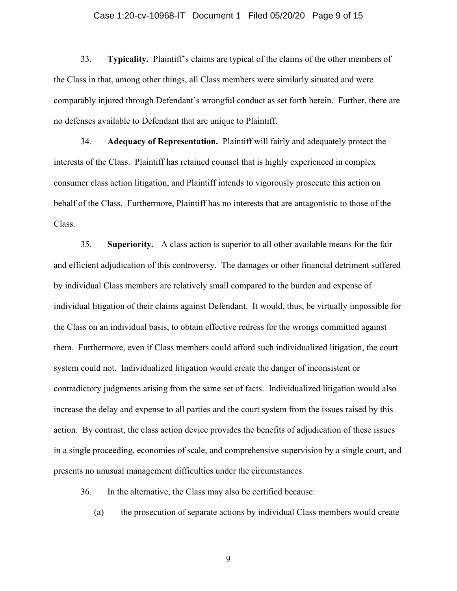## Case 1:20-cv-10968-IT Document 1 Filed 05/20/20 Page 9 of 15

33. **Typicality.** Plaintiff's claims are typical of the claims of the other members of the Class in that, among other things, all Class members were similarly situated and were comparably injured through Defendant's wrongful conduct as set forth herein. Further, there are no defenses available to Defendant that are unique to Plaintiff.

34. **Adequacy of Representation.** Plaintiff will fairly and adequately protect the interests of the Class. Plaintiff has retained counsel that is highly experienced in complex consumer class action litigation, and Plaintiff intends to vigorously prosecute this action on behalf of the Class. Furthermore, Plaintiff has no interests that are antagonistic to those of the Class.

35. **Superiority.** A class action is superior to all other available means for the fair and efficient adjudication of this controversy. The damages or other financial detriment suffered by individual Class members are relatively small compared to the burden and expense of individual litigation of their claims against Defendant. It would, thus, be virtually impossible for the Class on an individual basis, to obtain effective redress for the wrongs committed against them. Furthermore, even if Class members could afford such individualized litigation, the court system could not. Individualized litigation would create the danger of inconsistent or contradictory judgments arising from the same set of facts. Individualized litigation would also increase the delay and expense to all parties and the court system from the issues raised by this action. By contrast, the class action device provides the benefits of adjudication of these issues in a single proceeding, economies of scale, and comprehensive supervision by a single court, and presents no unusual management difficulties under the circumstances.

36. In the alternative, the Class may also be certified because:

(a) the prosecution of separate actions by individual Class members would create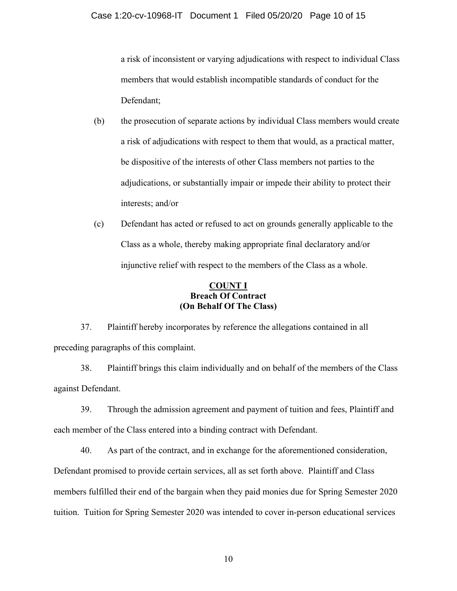a risk of inconsistent or varying adjudications with respect to individual Class members that would establish incompatible standards of conduct for the Defendant;

- (b) the prosecution of separate actions by individual Class members would create a risk of adjudications with respect to them that would, as a practical matter, be dispositive of the interests of other Class members not parties to the adjudications, or substantially impair or impede their ability to protect their interests; and/or
- (c) Defendant has acted or refused to act on grounds generally applicable to the Class as a whole, thereby making appropriate final declaratory and/or injunctive relief with respect to the members of the Class as a whole.

## **COUNT I Breach Of Contract (On Behalf Of The Class)**

37. Plaintiff hereby incorporates by reference the allegations contained in all preceding paragraphs of this complaint.

38. Plaintiff brings this claim individually and on behalf of the members of the Class against Defendant.

39. Through the admission agreement and payment of tuition and fees, Plaintiff and each member of the Class entered into a binding contract with Defendant.

40. As part of the contract, and in exchange for the aforementioned consideration, Defendant promised to provide certain services, all as set forth above. Plaintiff and Class members fulfilled their end of the bargain when they paid monies due for Spring Semester 2020 tuition. Tuition for Spring Semester 2020 was intended to cover in-person educational services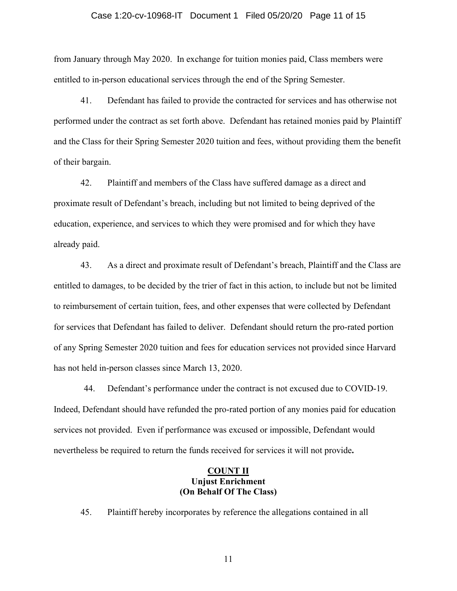## Case 1:20-cv-10968-IT Document 1 Filed 05/20/20 Page 11 of 15

from January through May 2020. In exchange for tuition monies paid, Class members were entitled to in-person educational services through the end of the Spring Semester.

41. Defendant has failed to provide the contracted for services and has otherwise not performed under the contract as set forth above. Defendant has retained monies paid by Plaintiff and the Class for their Spring Semester 2020 tuition and fees, without providing them the benefit of their bargain.

42. Plaintiff and members of the Class have suffered damage as a direct and proximate result of Defendant's breach, including but not limited to being deprived of the education, experience, and services to which they were promised and for which they have already paid.

43. As a direct and proximate result of Defendant's breach, Plaintiff and the Class are entitled to damages, to be decided by the trier of fact in this action, to include but not be limited to reimbursement of certain tuition, fees, and other expenses that were collected by Defendant for services that Defendant has failed to deliver. Defendant should return the pro-rated portion of any Spring Semester 2020 tuition and fees for education services not provided since Harvard has not held in-person classes since March 13, 2020.

44. Defendant's performance under the contract is not excused due to COVID-19. Indeed, Defendant should have refunded the pro-rated portion of any monies paid for education services not provided. Even if performance was excused or impossible, Defendant would nevertheless be required to return the funds received for services it will not provide**.**

## **COUNT II Unjust Enrichment (On Behalf Of The Class)**

45. Plaintiff hereby incorporates by reference the allegations contained in all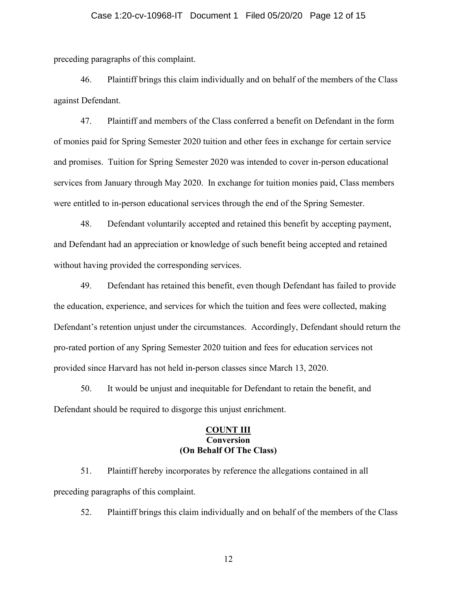preceding paragraphs of this complaint.

46. Plaintiff brings this claim individually and on behalf of the members of the Class against Defendant.

47. Plaintiff and members of the Class conferred a benefit on Defendant in the form of monies paid for Spring Semester 2020 tuition and other fees in exchange for certain service and promises. Tuition for Spring Semester 2020 was intended to cover in-person educational services from January through May 2020. In exchange for tuition monies paid, Class members were entitled to in-person educational services through the end of the Spring Semester.

48. Defendant voluntarily accepted and retained this benefit by accepting payment, and Defendant had an appreciation or knowledge of such benefit being accepted and retained without having provided the corresponding services.

49. Defendant has retained this benefit, even though Defendant has failed to provide the education, experience, and services for which the tuition and fees were collected, making Defendant's retention unjust under the circumstances. Accordingly, Defendant should return the pro-rated portion of any Spring Semester 2020 tuition and fees for education services not provided since Harvard has not held in-person classes since March 13, 2020.

50. It would be unjust and inequitable for Defendant to retain the benefit, and Defendant should be required to disgorge this unjust enrichment.

## **COUNT III Conversion (On Behalf Of The Class)**

51. Plaintiff hereby incorporates by reference the allegations contained in all preceding paragraphs of this complaint.

52. Plaintiff brings this claim individually and on behalf of the members of the Class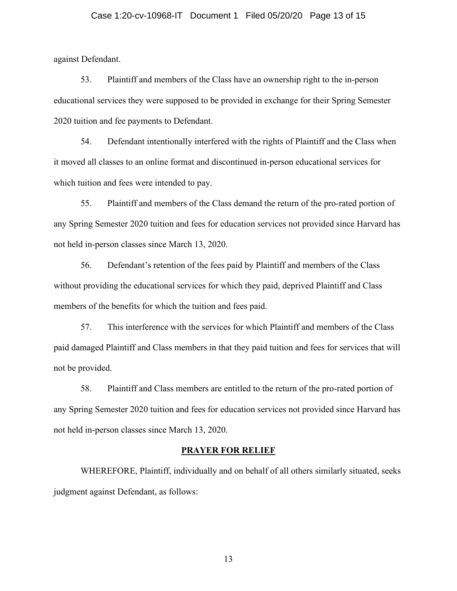## Case 1:20-cv-10968-IT Document 1 Filed 05/20/20 Page 13 of 15

against Defendant.

53. Plaintiff and members of the Class have an ownership right to the in-person educational services they were supposed to be provided in exchange for their Spring Semester 2020 tuition and fee payments to Defendant.

54. Defendant intentionally interfered with the rights of Plaintiff and the Class when it moved all classes to an online format and discontinued in-person educational services for which tuition and fees were intended to pay.

55. Plaintiff and members of the Class demand the return of the pro-rated portion of any Spring Semester 2020 tuition and fees for education services not provided since Harvard has not held in-person classes since March 13, 2020.

56. Defendant's retention of the fees paid by Plaintiff and members of the Class without providing the educational services for which they paid, deprived Plaintiff and Class members of the benefits for which the tuition and fees paid.

57. This interference with the services for which Plaintiff and members of the Class paid damaged Plaintiff and Class members in that they paid tuition and fees for services that will not be provided.

58. Plaintiff and Class members are entitled to the return of the pro-rated portion of any Spring Semester 2020 tuition and fees for education services not provided since Harvard has not held in-person classes since March 13, 2020.

## **PRAYER FOR RELIEF**

WHEREFORE, Plaintiff, individually and on behalf of all others similarly situated, seeks judgment against Defendant, as follows: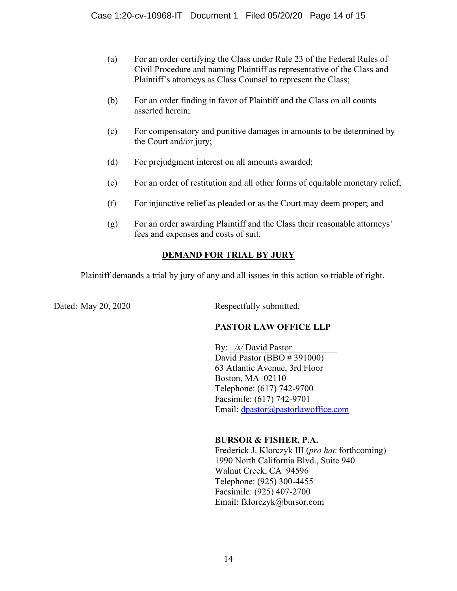- (a) For an order certifying the Class under Rule 23 of the Federal Rules of Civil Procedure and naming Plaintiff as representative of the Class and Plaintiff's attorneys as Class Counsel to represent the Class;
- (b) For an order finding in favor of Plaintiff and the Class on all counts asserted herein;
- (c) For compensatory and punitive damages in amounts to be determined by the Court and/or jury;
- (d) For prejudgment interest on all amounts awarded;
- (e) For an order of restitution and all other forms of equitable monetary relief;
- (f) For injunctive relief as pleaded or as the Court may deem proper; and
- (g) For an order awarding Plaintiff and the Class their reasonable attorneys' fees and expenses and costs of suit.

# **DEMAND FOR TRIAL BY JURY**

Plaintiff demands a trial by jury of any and all issues in this action so triable of right.

Dated: May 20, 2020 Respectfully submitted,

# **PASTOR LAW OFFICE LLP**

By: */s/* David Pastor David Pastor (BBO # 391000) 63 Atlantic Avenue, 3rd Floor Boston, MA 02110 Telephone: (617) 742-9700 Facsimile: (617) 742-9701 Email: [dpastor@pastorlawoffice.com](mailto:dpastor@pastorlawoffice.com)

## **BURSOR & FISHER, P.A.**

Frederick J. Klorczyk III (*pro hac* forthcoming) 1990 North California Blvd., Suite 940 Walnut Creek, CA 94596 Telephone: (925) 300-4455 Facsimile: (925) 407-2700 Email: fklorczyk@bursor.com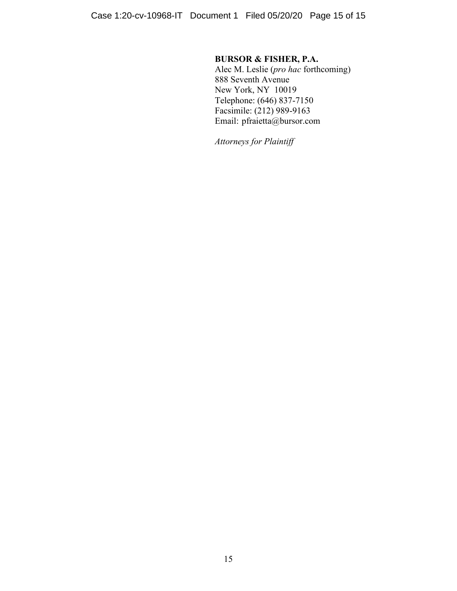# **BURSOR & FISHER, P.A.**

Alec M. Leslie (*pro hac* forthcoming) 888 Seventh Avenue New York, NY 10019 Telephone: (646) 837-7150 Facsimile: (212) 989-9163 Email: pfraietta@bursor.com

*Attorneys for Plaintiff*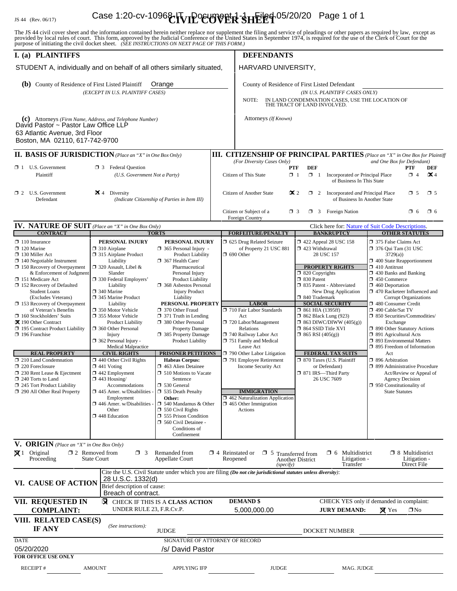# IS 44 (Rev. 06/17) Case 1:20-cv-1096&**IVIP<sup>O</sup>CUP PER SHEET**<sup>1</sup>05/20/20 Page 1 of 1

The JS 44 civil cover sheet and the information contained herein neither replace nor supplement the filing and service of pleadings or other papers as required by law, except as provided by local rules of court. This form,

| I. (a) PLAINTIFFS                                                                                                                                                                                                                                                                                                                                                                                                                                                                                                                                                                                                                                              |                                                                                                                                                                                                                                                                                                                                                                                                                                                                                                                                                                                                                                                             |                                                                                                                                                                                                                                                                                                                                                                                                                                                                                                                                                                                                                                                                                                                              |                                                                                                                                        | <b>DEFENDANTS</b>                                                                                                                                                                                                                                                                                                                                                                                                   |                                                                                                                                                                                                                                                                                                                                                                                                                                                                                                 |                                                                        |                                                                                                                                                                                                                                                                                                                                                                                                                                                                                                                                                                                                                                                                                                             |                                                       |  |  |
|----------------------------------------------------------------------------------------------------------------------------------------------------------------------------------------------------------------------------------------------------------------------------------------------------------------------------------------------------------------------------------------------------------------------------------------------------------------------------------------------------------------------------------------------------------------------------------------------------------------------------------------------------------------|-------------------------------------------------------------------------------------------------------------------------------------------------------------------------------------------------------------------------------------------------------------------------------------------------------------------------------------------------------------------------------------------------------------------------------------------------------------------------------------------------------------------------------------------------------------------------------------------------------------------------------------------------------------|------------------------------------------------------------------------------------------------------------------------------------------------------------------------------------------------------------------------------------------------------------------------------------------------------------------------------------------------------------------------------------------------------------------------------------------------------------------------------------------------------------------------------------------------------------------------------------------------------------------------------------------------------------------------------------------------------------------------------|----------------------------------------------------------------------------------------------------------------------------------------|---------------------------------------------------------------------------------------------------------------------------------------------------------------------------------------------------------------------------------------------------------------------------------------------------------------------------------------------------------------------------------------------------------------------|-------------------------------------------------------------------------------------------------------------------------------------------------------------------------------------------------------------------------------------------------------------------------------------------------------------------------------------------------------------------------------------------------------------------------------------------------------------------------------------------------|------------------------------------------------------------------------|-------------------------------------------------------------------------------------------------------------------------------------------------------------------------------------------------------------------------------------------------------------------------------------------------------------------------------------------------------------------------------------------------------------------------------------------------------------------------------------------------------------------------------------------------------------------------------------------------------------------------------------------------------------------------------------------------------------|-------------------------------------------------------|--|--|
| STUDENT A, individually and on behalf of all others similarly situated,                                                                                                                                                                                                                                                                                                                                                                                                                                                                                                                                                                                        |                                                                                                                                                                                                                                                                                                                                                                                                                                                                                                                                                                                                                                                             |                                                                                                                                                                                                                                                                                                                                                                                                                                                                                                                                                                                                                                                                                                                              |                                                                                                                                        | HARVARD UNIVERSITY,                                                                                                                                                                                                                                                                                                                                                                                                 |                                                                                                                                                                                                                                                                                                                                                                                                                                                                                                 |                                                                        |                                                                                                                                                                                                                                                                                                                                                                                                                                                                                                                                                                                                                                                                                                             |                                                       |  |  |
| (b) County of Residence of First Listed Plaintiff<br>Orange<br>(EXCEPT IN U.S. PLAINTIFF CASES)                                                                                                                                                                                                                                                                                                                                                                                                                                                                                                                                                                |                                                                                                                                                                                                                                                                                                                                                                                                                                                                                                                                                                                                                                                             |                                                                                                                                                                                                                                                                                                                                                                                                                                                                                                                                                                                                                                                                                                                              |                                                                                                                                        | County of Residence of First Listed Defendant<br>(IN U.S. PLAINTIFF CASES ONLY)<br>IN LAND CONDEMNATION CASES, USE THE LOCATION OF<br>NOTE:<br>THE TRACT OF LAND INVOLVED.                                                                                                                                                                                                                                          |                                                                                                                                                                                                                                                                                                                                                                                                                                                                                                 |                                                                        |                                                                                                                                                                                                                                                                                                                                                                                                                                                                                                                                                                                                                                                                                                             |                                                       |  |  |
| (c) Attorneys (Firm Name, Address, and Telephone Number)<br>David Pastor ~ Pastor Law Office LLP<br>63 Atlantic Avenue, 3rd Floor<br>Boston, MA 02110, 617-742-9700                                                                                                                                                                                                                                                                                                                                                                                                                                                                                            |                                                                                                                                                                                                                                                                                                                                                                                                                                                                                                                                                                                                                                                             |                                                                                                                                                                                                                                                                                                                                                                                                                                                                                                                                                                                                                                                                                                                              |                                                                                                                                        | Attorneys (If Known)                                                                                                                                                                                                                                                                                                                                                                                                |                                                                                                                                                                                                                                                                                                                                                                                                                                                                                                 |                                                                        |                                                                                                                                                                                                                                                                                                                                                                                                                                                                                                                                                                                                                                                                                                             |                                                       |  |  |
| <b>II. BASIS OF JURISDICTION</b> (Place an "X" in One Box Only)                                                                                                                                                                                                                                                                                                                                                                                                                                                                                                                                                                                                |                                                                                                                                                                                                                                                                                                                                                                                                                                                                                                                                                                                                                                                             |                                                                                                                                                                                                                                                                                                                                                                                                                                                                                                                                                                                                                                                                                                                              |                                                                                                                                        | <b>III. CITIZENSHIP OF PRINCIPAL PARTIES</b> (Place an "X" in One Box for Plaintiff                                                                                                                                                                                                                                                                                                                                 |                                                                                                                                                                                                                                                                                                                                                                                                                                                                                                 |                                                                        |                                                                                                                                                                                                                                                                                                                                                                                                                                                                                                                                                                                                                                                                                                             |                                                       |  |  |
| $\Box$ 1 U.S. Government<br>Plaintiff                                                                                                                                                                                                                                                                                                                                                                                                                                                                                                                                                                                                                          | <b>3</b> Federal Question<br>(U.S. Government Not a Party)                                                                                                                                                                                                                                                                                                                                                                                                                                                                                                                                                                                                  |                                                                                                                                                                                                                                                                                                                                                                                                                                                                                                                                                                                                                                                                                                                              |                                                                                                                                        | (For Diversity Cases Only)<br>and One Box for Defendant)<br><b>DEF</b><br>PTF<br>PTF<br><b>DEF</b><br>Citizen of This State<br>$\Box$ 1<br>$\Box$ 1<br>Incorporated or Principal Place<br>$\Box$ 4<br>$\mathbf{X}$ 4<br>of Business In This State                                                                                                                                                                   |                                                                                                                                                                                                                                                                                                                                                                                                                                                                                                 |                                                                        |                                                                                                                                                                                                                                                                                                                                                                                                                                                                                                                                                                                                                                                                                                             |                                                       |  |  |
| $\Box$ 2 U.S. Government<br>Defendant                                                                                                                                                                                                                                                                                                                                                                                                                                                                                                                                                                                                                          | $\mathbf{\times}$ 4 Diversity<br>(Indicate Citizenship of Parties in Item III)                                                                                                                                                                                                                                                                                                                                                                                                                                                                                                                                                                              |                                                                                                                                                                                                                                                                                                                                                                                                                                                                                                                                                                                                                                                                                                                              |                                                                                                                                        | <b>Citizen of Another State</b>                                                                                                                                                                                                                                                                                                                                                                                     | $\mathbb{Z}$ 2<br>1 2 Incorporated and Principal Place<br>$\Box$ 5<br>$\square$ 5<br>of Business In Another State                                                                                                                                                                                                                                                                                                                                                                               |                                                                        |                                                                                                                                                                                                                                                                                                                                                                                                                                                                                                                                                                                                                                                                                                             |                                                       |  |  |
|                                                                                                                                                                                                                                                                                                                                                                                                                                                                                                                                                                                                                                                                |                                                                                                                                                                                                                                                                                                                                                                                                                                                                                                                                                                                                                                                             |                                                                                                                                                                                                                                                                                                                                                                                                                                                                                                                                                                                                                                                                                                                              |                                                                                                                                        | Citizen or Subject of a<br>$\Box$ 3 Foreign Nation<br>$\Box$ 3<br>$\Box$ 6<br>$\square$ 6<br>Foreign Country                                                                                                                                                                                                                                                                                                        |                                                                                                                                                                                                                                                                                                                                                                                                                                                                                                 |                                                                        |                                                                                                                                                                                                                                                                                                                                                                                                                                                                                                                                                                                                                                                                                                             |                                                       |  |  |
| <b>IV. NATURE OF SUIT</b> (Place an "X" in One Box Only)<br><b>CONTRACT</b>                                                                                                                                                                                                                                                                                                                                                                                                                                                                                                                                                                                    |                                                                                                                                                                                                                                                                                                                                                                                                                                                                                                                                                                                                                                                             | <b>TORTS</b>                                                                                                                                                                                                                                                                                                                                                                                                                                                                                                                                                                                                                                                                                                                 |                                                                                                                                        | <b>FORFEITURE/PENALTY</b>                                                                                                                                                                                                                                                                                                                                                                                           |                                                                                                                                                                                                                                                                                                                                                                                                                                                                                                 | Click here for: Nature of Suit Code Descriptions.<br><b>BANKRUPTCY</b> |                                                                                                                                                                                                                                                                                                                                                                                                                                                                                                                                                                                                                                                                                                             |                                                       |  |  |
| $\Box$ 110 Insurance<br>$\Box$ 120 Marine<br>$\Box$ 130 Miller Act<br>$\Box$ 140 Negotiable Instrument<br>$\Box$ 150 Recovery of Overpayment<br>& Enforcement of Judgment<br>151 Medicare Act<br>$\Box$ 152 Recovery of Defaulted<br><b>Student Loans</b><br>(Excludes Veterans)<br>$\Box$ 153 Recovery of Overpayment<br>of Veteran's Benefits<br>160 Stockholders' Suits<br>X 190 Other Contract<br>195 Contract Product Liability<br>$\Box$ 196 Franchise<br><b>REAL PROPERTY</b><br>210 Land Condemnation<br>$\Box$ 220 Foreclosure<br>$\Box$ 230 Rent Lease & Ejectment<br>240 Torts to Land<br>245 Tort Product Liability<br>290 All Other Real Property | PERSONAL INJURY<br>$\Box$ 310 Airplane<br>□ 315 Airplane Product<br>Liability<br>$\Box$ 320 Assault, Libel &<br>Slander<br>□ 330 Federal Employers'<br>Liability<br>$\square$ 340 Marine<br>345 Marine Product<br>Liability<br>□ 350 Motor Vehicle<br>□ 355 Motor Vehicle<br><b>Product Liability</b><br>360 Other Personal<br>Injury<br>$\Box$ 362 Personal Injury -<br>Medical Malpractice<br><b>CIVIL RIGHTS</b><br>$\Box$ 440 Other Civil Rights<br>$\Box$ 441 Voting<br>$\Box$ 442 Employment<br>$\Box$ 443 Housing/<br>Accommodations<br>$\Box$ 445 Amer. w/Disabilities -<br>Employment<br>$\Box$ 446 Amer. w/Disabilities<br>Other<br>448 Education | PERSONAL INJURY<br>$\Box$ 365 Personal Injury -<br>Product Liability<br>367 Health Care/<br>Pharmaceutical<br>Personal Injury<br><b>Product Liability</b><br><b>1368</b> Asbestos Personal<br><b>Injury Product</b><br>Liability<br>PERSONAL PROPERTY<br>□ 370 Other Fraud<br>$\Box$ 371 Truth in Lending<br>380 Other Personal<br><b>Property Damage</b><br>385 Property Damage<br>Product Liability<br><b>PRISONER PETITIONS</b><br><b>Habeas Corpus:</b><br>463 Alien Detainee<br>$\Box$ 510 Motions to Vacate<br>Sentence<br>$\Box$ 530 General<br>535 Death Penalty<br>Other:<br>$\Box$ 540 Mandamus & Other<br>$\Box$ 550 Civil Rights<br>555 Prison Condition<br>560 Civil Detainee -<br>Conditions of<br>Confinement |                                                                                                                                        | 5 625 Drug Related Seizure<br>of Property 21 USC 881<br>$\Box$ 690 Other<br><b>LABOR</b><br>710 Fair Labor Standards<br>Act<br>720 Labor/Management<br>Relations<br>740 Railway Labor Act<br>751 Family and Medical<br>Leave Act<br>790 Other Labor Litigation<br>791 Employee Retirement<br>Income Security Act<br><b>IMMIGRATION</b><br>462 Naturalization Application<br>$\Box$ 465 Other Immigration<br>Actions | 158 122 Appeal 28 USC 158<br>423 Withdrawal<br>28 USC 157<br><b>PROPERTY RIGHTS</b><br>$\Box$ 820 Copyrights<br>□ 830 Patent<br>335 Patent - Abbreviated<br>New Drug Application<br>□ 840 Trademark<br><b>SOCIAL SECURITY</b><br>$\Box$ 861 HIA (1395ff)<br>$\Box$ 862 Black Lung (923)<br>$\Box$ 863 DIWC/DIWW (405(g))<br>□ 864 SSID Title XVI<br>$\Box$ 865 RSI (405(g))<br><b>FEDERAL TAX SUITS</b><br>□ 870 Taxes (U.S. Plaintiff<br>or Defendant)<br>□ 871 IRS—Third Party<br>26 USC 7609 |                                                                        | <b>OTHER STATUTES</b><br>□ 375 False Claims Act<br>$\Box$ 376 Qui Tam (31 USC<br>3729(a)<br>1 400 State Reapportionment<br>$\Box$ 410 Antitrust<br>1 430 Banks and Banking<br>$\Box$ 450 Commerce<br>$\Box$ 460 Deportation<br>1 470 Racketeer Influenced and<br><b>Corrupt Organizations</b><br>480 Consumer Credit<br>□ 490 Cable/Sat TV<br>$\Box$ 850 Securities/Commodities/<br>Exchange<br>1 890 Other Statutory Actions<br>□ 891 Agricultural Acts<br>1 893 Environmental Matters<br>□ 895 Freedom of Information<br>Act<br>$\Box$ 896 Arbitration<br>□ 899 Administrative Procedure<br>Act/Review or Appeal of<br><b>Agency Decision</b><br>$\Box$ 950 Constitutionality of<br><b>State Statutes</b> |                                                       |  |  |
| <b>V. ORIGIN</b> (Place an "X" in One Box Only)                                                                                                                                                                                                                                                                                                                                                                                                                                                                                                                                                                                                                |                                                                                                                                                                                                                                                                                                                                                                                                                                                                                                                                                                                                                                                             |                                                                                                                                                                                                                                                                                                                                                                                                                                                                                                                                                                                                                                                                                                                              |                                                                                                                                        |                                                                                                                                                                                                                                                                                                                                                                                                                     |                                                                                                                                                                                                                                                                                                                                                                                                                                                                                                 |                                                                        |                                                                                                                                                                                                                                                                                                                                                                                                                                                                                                                                                                                                                                                                                                             |                                                       |  |  |
| $\boxtimes$ 1 Original<br>Proceeding                                                                                                                                                                                                                                                                                                                                                                                                                                                                                                                                                                                                                           | $\Box$ 2 Removed from<br>$\Box$ 3<br><b>State Court</b>                                                                                                                                                                                                                                                                                                                                                                                                                                                                                                                                                                                                     | Remanded from<br><b>Appellate Court</b>                                                                                                                                                                                                                                                                                                                                                                                                                                                                                                                                                                                                                                                                                      |                                                                                                                                        | $\Box$ 4 Reinstated or<br>$\Box$ 5 Transferred from<br>Reopened<br>(specify)                                                                                                                                                                                                                                                                                                                                        | <b>Another District</b>                                                                                                                                                                                                                                                                                                                                                                                                                                                                         | $\Box$ 6 Multidistrict<br>Litigation -<br>Transfer                     |                                                                                                                                                                                                                                                                                                                                                                                                                                                                                                                                                                                                                                                                                                             | $\Box$ 8 Multidistrict<br>Litigation -<br>Direct File |  |  |
| VI. CAUSE OF ACTION                                                                                                                                                                                                                                                                                                                                                                                                                                                                                                                                                                                                                                            | <u>28 U.S.C. 1332(d)</u><br>Brief description of cause:<br>Breach of contract.                                                                                                                                                                                                                                                                                                                                                                                                                                                                                                                                                                              |                                                                                                                                                                                                                                                                                                                                                                                                                                                                                                                                                                                                                                                                                                                              |                                                                                                                                        | Cite the U.S. Civil Statute under which you are filing (Do not cite jurisdictional statutes unless diversity):                                                                                                                                                                                                                                                                                                      |                                                                                                                                                                                                                                                                                                                                                                                                                                                                                                 |                                                                        |                                                                                                                                                                                                                                                                                                                                                                                                                                                                                                                                                                                                                                                                                                             |                                                       |  |  |
| VII. REQUESTED IN<br>⊠<br>CHECK IF THIS IS A CLASS ACTION<br>UNDER RULE 23, F.R.Cv.P.<br><b>COMPLAINT:</b>                                                                                                                                                                                                                                                                                                                                                                                                                                                                                                                                                     |                                                                                                                                                                                                                                                                                                                                                                                                                                                                                                                                                                                                                                                             |                                                                                                                                                                                                                                                                                                                                                                                                                                                                                                                                                                                                                                                                                                                              | <b>DEMAND \$</b><br>CHECK YES only if demanded in complaint:<br>5,000,000.00<br><b>JURY DEMAND:</b><br>$\square$ No<br>$\boxtimes$ Yes |                                                                                                                                                                                                                                                                                                                                                                                                                     |                                                                                                                                                                                                                                                                                                                                                                                                                                                                                                 |                                                                        |                                                                                                                                                                                                                                                                                                                                                                                                                                                                                                                                                                                                                                                                                                             |                                                       |  |  |
| VIII. RELATED CASE(S)<br><b>IF ANY</b>                                                                                                                                                                                                                                                                                                                                                                                                                                                                                                                                                                                                                         | (See instructions):<br><b>JUDGE</b>                                                                                                                                                                                                                                                                                                                                                                                                                                                                                                                                                                                                                         |                                                                                                                                                                                                                                                                                                                                                                                                                                                                                                                                                                                                                                                                                                                              |                                                                                                                                        | DOCKET NUMBER                                                                                                                                                                                                                                                                                                                                                                                                       |                                                                                                                                                                                                                                                                                                                                                                                                                                                                                                 |                                                                        |                                                                                                                                                                                                                                                                                                                                                                                                                                                                                                                                                                                                                                                                                                             |                                                       |  |  |
| <b>DATE</b><br>05/20/2020                                                                                                                                                                                                                                                                                                                                                                                                                                                                                                                                                                                                                                      |                                                                                                                                                                                                                                                                                                                                                                                                                                                                                                                                                                                                                                                             | SIGNATURE OF ATTORNEY OF RECORD<br>/s/ David Pastor                                                                                                                                                                                                                                                                                                                                                                                                                                                                                                                                                                                                                                                                          |                                                                                                                                        |                                                                                                                                                                                                                                                                                                                                                                                                                     |                                                                                                                                                                                                                                                                                                                                                                                                                                                                                                 |                                                                        |                                                                                                                                                                                                                                                                                                                                                                                                                                                                                                                                                                                                                                                                                                             |                                                       |  |  |
| <b>FOR OFFICE USE ONLY</b><br><b>RECEIPT#</b>                                                                                                                                                                                                                                                                                                                                                                                                                                                                                                                                                                                                                  | <b>AMOUNT</b>                                                                                                                                                                                                                                                                                                                                                                                                                                                                                                                                                                                                                                               | <b>APPLYING IFP</b>                                                                                                                                                                                                                                                                                                                                                                                                                                                                                                                                                                                                                                                                                                          |                                                                                                                                        | <b>JUDGE</b>                                                                                                                                                                                                                                                                                                                                                                                                        |                                                                                                                                                                                                                                                                                                                                                                                                                                                                                                 | MAG. JUDGE                                                             |                                                                                                                                                                                                                                                                                                                                                                                                                                                                                                                                                                                                                                                                                                             |                                                       |  |  |